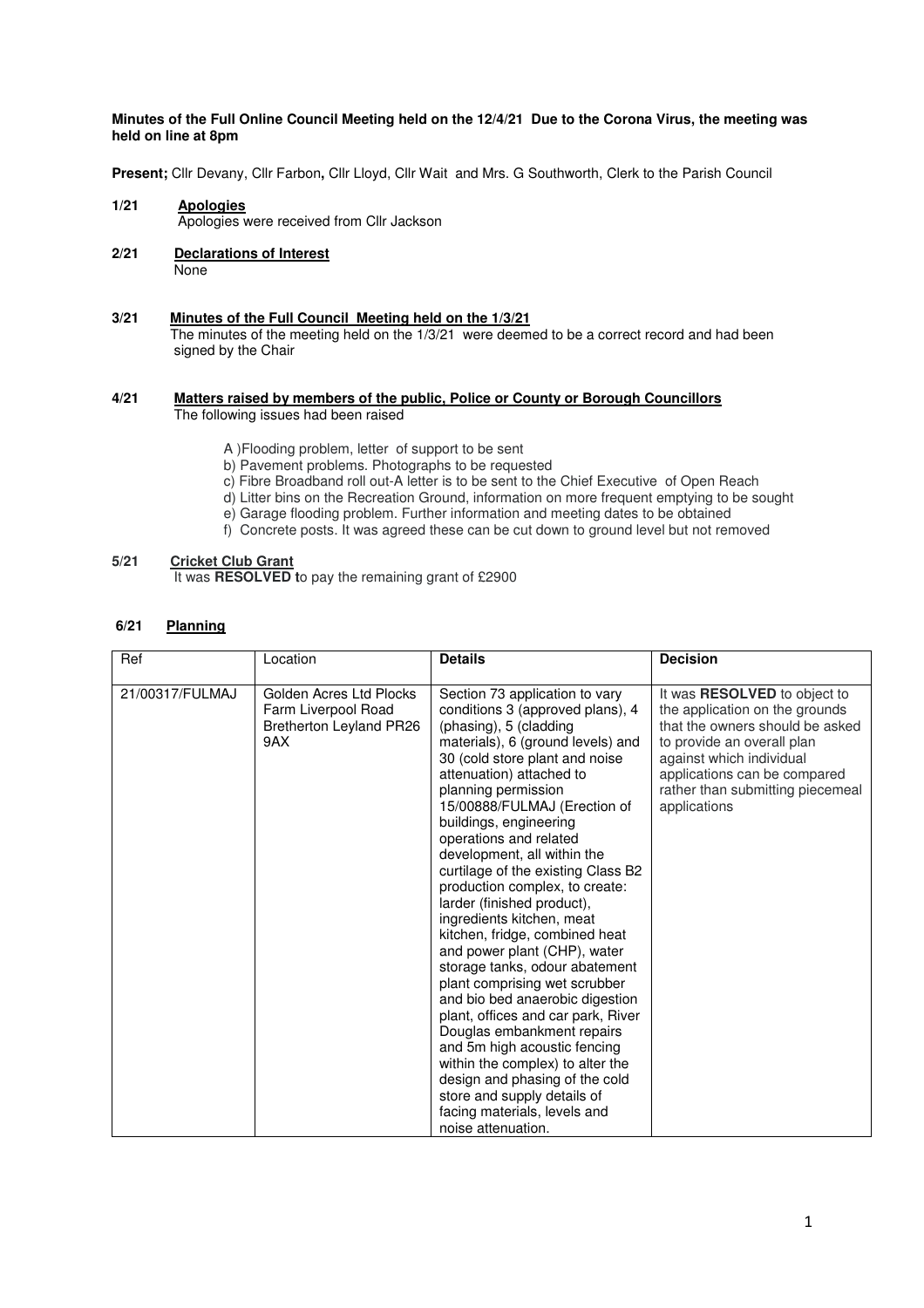## **Minutes of the Full Online Council Meeting held on the 12/4/21 Due to the Corona Virus, the meeting was held on line at 8pm**

**Present;** Cllr Devany, Cllr Farbon**,** Cllr Lloyd, Cllr Wait and Mrs. G Southworth, Clerk to the Parish Council

- **1/21 Apologies** Apologies were received from Cllr Jackson
- **2/21 Declarations of Interest** None
- **3/21 Minutes of the Full Council Meeting held on the 1/3/21**  The minutes of the meeting held on the 1/3/21 were deemed to be a correct record and had been signed by the Chair

#### **4/21 Matters raised by members of the public, Police or County or Borough Councillors**  The following issues had been raised

- A )Flooding problem, letter of support to be sent
- b) Pavement problems. Photographs to be requested
- c) Fibre Broadband roll out-A letter is to be sent to the Chief Executive of Open Reach
- d) Litter bins on the Recreation Ground, information on more frequent emptying to be sought
- e) Garage flooding problem. Further information and meeting dates to be obtained
- f) Concrete posts. It was agreed these can be cut down to ground level but not removed

## **5/21 Cricket Club Grant**

It was **RESOLVED t**o pay the remaining grant of £2900

# **6/21 Planning**

| Ref             | Location                                                                                | <b>Details</b>                                                                                                                                                                                                                                                                                                                                                                                                                                                                                                                                                                                                                                                                                                                                                                                                                                                                                                      | <b>Decision</b>                                                                                                                                                                                                                                 |
|-----------------|-----------------------------------------------------------------------------------------|---------------------------------------------------------------------------------------------------------------------------------------------------------------------------------------------------------------------------------------------------------------------------------------------------------------------------------------------------------------------------------------------------------------------------------------------------------------------------------------------------------------------------------------------------------------------------------------------------------------------------------------------------------------------------------------------------------------------------------------------------------------------------------------------------------------------------------------------------------------------------------------------------------------------|-------------------------------------------------------------------------------------------------------------------------------------------------------------------------------------------------------------------------------------------------|
| 21/00317/FULMAJ | Golden Acres Ltd Plocks<br>Farm Liverpool Road<br><b>Bretherton Leyland PR26</b><br>9AX | Section 73 application to vary<br>conditions 3 (approved plans), 4<br>(phasing), 5 (cladding<br>materials), 6 (ground levels) and<br>30 (cold store plant and noise<br>attenuation) attached to<br>planning permission<br>15/00888/FULMAJ (Erection of<br>buildings, engineering<br>operations and related<br>development, all within the<br>curtilage of the existing Class B2<br>production complex, to create:<br>larder (finished product),<br>ingredients kitchen, meat<br>kitchen, fridge, combined heat<br>and power plant (CHP), water<br>storage tanks, odour abatement<br>plant comprising wet scrubber<br>and bio bed anaerobic digestion<br>plant, offices and car park, River<br>Douglas embankment repairs<br>and 5m high acoustic fencing<br>within the complex) to alter the<br>design and phasing of the cold<br>store and supply details of<br>facing materials, levels and<br>noise attenuation. | It was RESOLVED to object to<br>the application on the grounds<br>that the owners should be asked<br>to provide an overall plan<br>against which individual<br>applications can be compared<br>rather than submitting piecemeal<br>applications |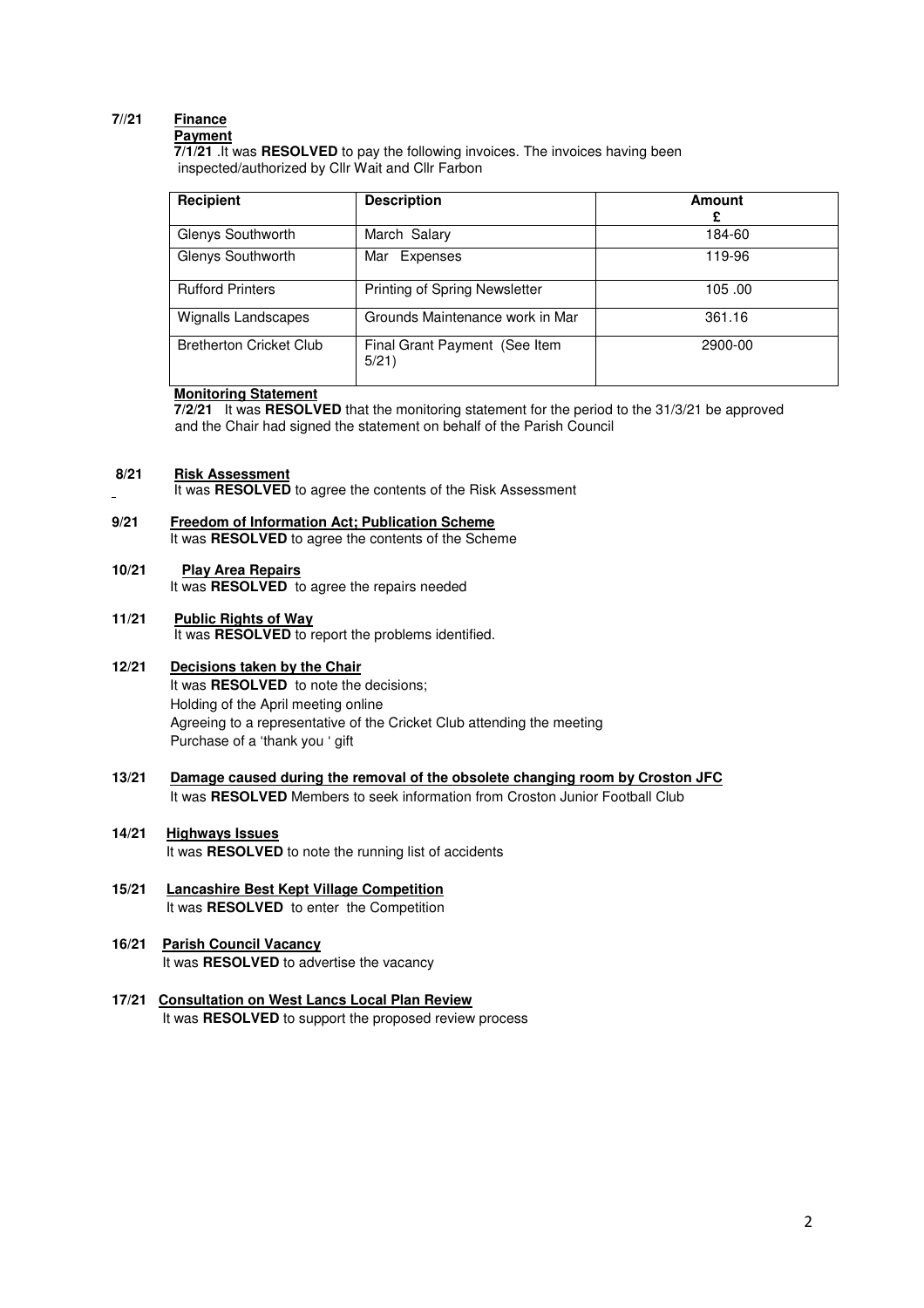#### **7//21 Finance Payment**

 **7/1/21** .It was **RESOLVED** to pay the following invoices. The invoices having been inspected/authorized by Cllr Wait and Cllr Farbon

| Recipient                      | <b>Description</b>                     | <b>Amount</b><br>£ |
|--------------------------------|----------------------------------------|--------------------|
| Glenys Southworth              | March Salary                           | 184-60             |
| Glenys Southworth              | Mar Expenses                           | 119-96             |
| <b>Rufford Printers</b>        | Printing of Spring Newsletter          | 105.00             |
| Wignalls Landscapes            | Grounds Maintenance work in Mar        | 361.16             |
| <b>Bretherton Cricket Club</b> | Final Grant Payment (See Item<br>5/21) | 2900-00            |

# **Monitoring Statement**

 **7/2/21** It was **RESOLVED** that the monitoring statement for the period to the 31/3/21 be approved and the Chair had signed the statement on behalf of the Parish Council

#### **8/21 Risk Assessment**

- It was **RESOLVED** to agree the contents of the Risk Assessment
- **9/21 Freedom of Information Act; Publication Scheme**  It was **RESOLVED** to agree the contents of the Scheme

# **10/21 Play Area Repairs**

It was **RESOLVED** to agree the repairs needed

# **11/21 Public Rights of Way**

It was **RESOLVED** to report the problems identified.

#### **12/21 Decisions taken by the Chair**

 It was **RESOLVED** to note the decisions; Holding of the April meeting online Agreeing to a representative of the Cricket Club attending the meeting Purchase of a 'thank you ' gift

## **13/21 Damage caused during the removal of the obsolete changing room by Croston JFC** It was **RESOLVED** Members to seek information from Croston Junior Football Club

## **14/21 Highways Issues**  It was **RESOLVED** to note the running list of accidents

**15/21 Lancashire Best Kept Village Competition**  It was **RESOLVED** to enter the Competition

## **16/21 Parish Council Vacancy**  It was **RESOLVED** to advertise the vacancy

**17/21 Consultation on West Lancs Local Plan Review** It was **RESOLVED** to support the proposed review process